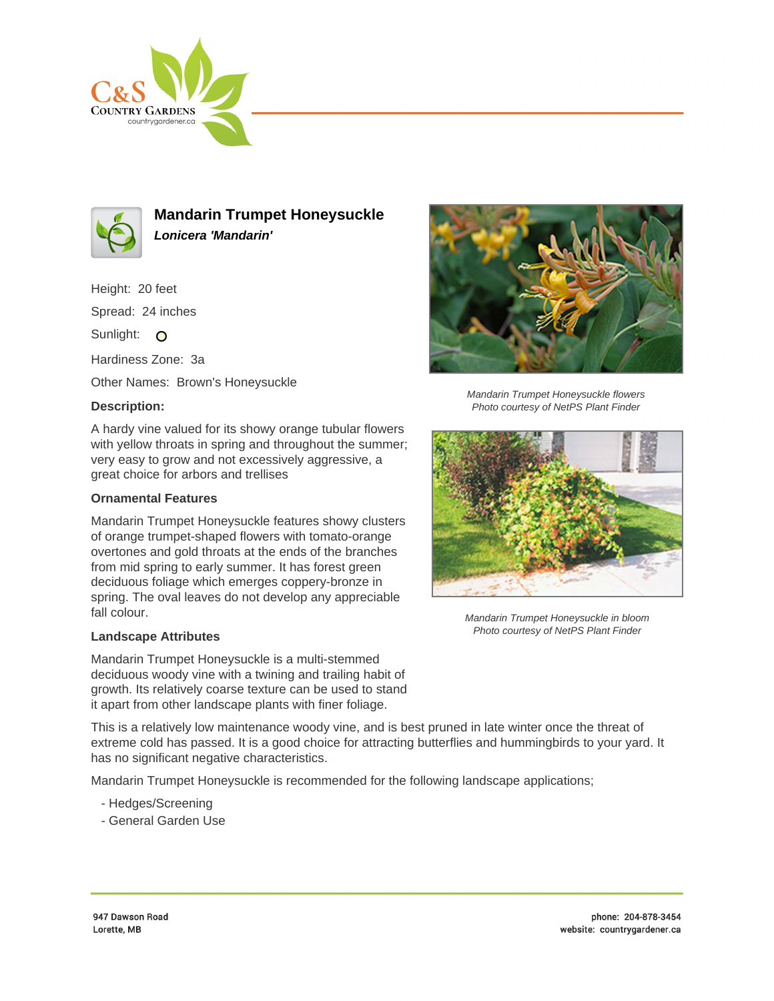



**Mandarin Trumpet Honeysuckle Lonicera 'Mandarin'**

Height: 20 feet

Spread: 24 inches

Sunlight: O

Hardiness Zone: 3a

Other Names: Brown's Honeysuckle

## **Description:**

A hardy vine valued for its showy orange tubular flowers with yellow throats in spring and throughout the summer; very easy to grow and not excessively aggressive, a great choice for arbors and trellises

## **Ornamental Features**

Mandarin Trumpet Honeysuckle features showy clusters of orange trumpet-shaped flowers with tomato-orange overtones and gold throats at the ends of the branches from mid spring to early summer. It has forest green deciduous foliage which emerges coppery-bronze in spring. The oval leaves do not develop any appreciable fall colour.

## **Landscape Attributes**

Mandarin Trumpet Honeysuckle is a multi-stemmed deciduous woody vine with a twining and trailing habit of growth. Its relatively coarse texture can be used to stand it apart from other landscape plants with finer foliage.

This is a relatively low maintenance woody vine, and is best pruned in late winter once the threat of extreme cold has passed. It is a good choice for attracting butterflies and hummingbirds to your yard. It has no significant negative characteristics.

Mandarin Trumpet Honeysuckle is recommended for the following landscape applications;

- Hedges/Screening
- General Garden Use



Mandarin Trumpet Honeysuckle flowers Photo courtesy of NetPS Plant Finder



Mandarin Trumpet Honeysuckle in bloom Photo courtesy of NetPS Plant Finder